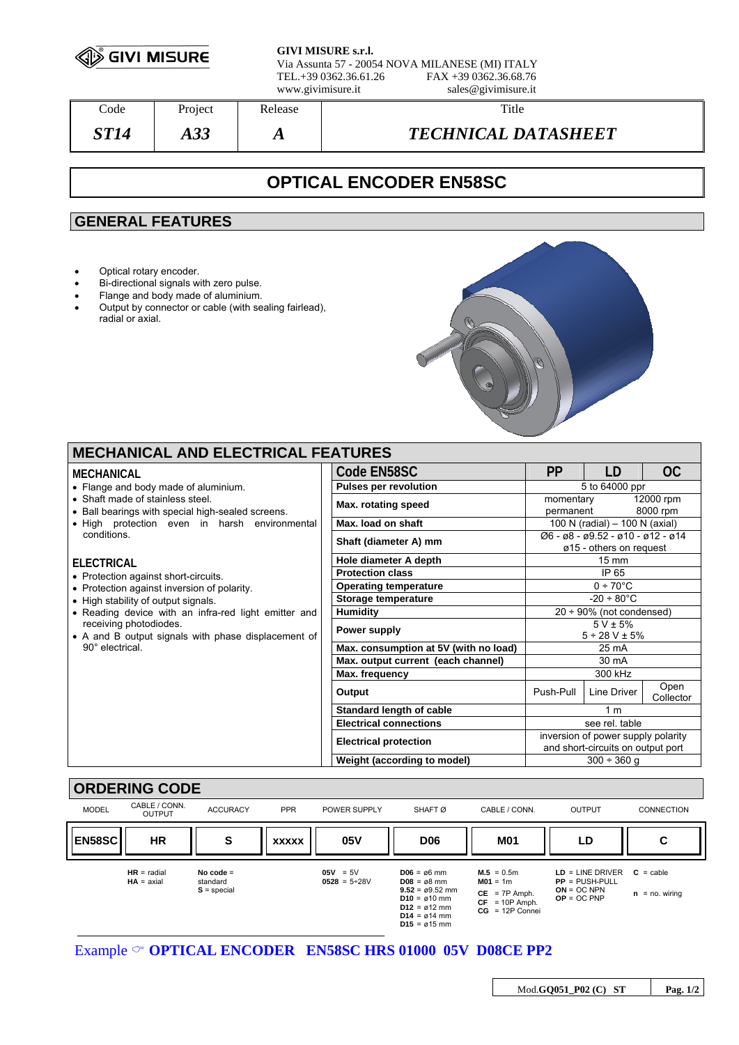

**GIVI MISURE s.r.l.** Via Assunta 57 - 20054 NOVA MILANESE (MI) ITALY FAX +39 0362.36.68.76 www.givimisure.it sales@givimisure.it

| Code  | Project    | Release | Title                      |
|-------|------------|---------|----------------------------|
| ST 14 | ാ വ<br>AJJ | A       | <b>TECHNICAL DATASHEET</b> |

# **OPTICAL ENCODER EN58SC**

## **GENERAL FEATURES**

- Optical rotary encoder.
- Bi-directional signals with zero pulse.
- Flange and body made of aluminium.
- Output by connector or cable (with sealing fairlead), radial or axial.



### **MECHANICAL AND ELECTRICAL FEATURES**

| MECHANICAL                                                                            | Code EN58SC                           | <b>PP</b>                                                                 | LD                                      | OC                    |
|---------------------------------------------------------------------------------------|---------------------------------------|---------------------------------------------------------------------------|-----------------------------------------|-----------------------|
| • Flange and body made of aluminium.                                                  | <b>Pulses per revolution</b>          | 5 to 64000 ppr                                                            |                                         |                       |
| • Shaft made of stainless steel.<br>• Ball bearings with special high-sealed screens. | Max. rotating speed                   | momentary<br>permanent                                                    |                                         | 12000 rpm<br>8000 rpm |
| • High protection even in harsh environmental                                         | Max. load on shaft                    | 100 N (radial) - 100 N (axial)                                            |                                         |                       |
| conditions.                                                                           | Shaft (diameter A) mm                 | $\varnothing$ 6 - ø8 - ø9.52 - ø10 - ø12 - ø14<br>ø15 - others on request |                                         |                       |
| <b>ELECTRICAL</b>                                                                     | Hole diameter A depth                 | $15 \text{ mm}$                                                           |                                         |                       |
| • Protection against short-circuits.                                                  | <b>Protection class</b>               | IP 65                                                                     |                                         |                       |
| • Protection against inversion of polarity.                                           | <b>Operating temperature</b>          | $0 \div 70^{\circ}$ C                                                     |                                         |                       |
| • High stability of output signals.                                                   | Storage temperature                   | $-20 \div 80^{\circ}$ C                                                   |                                         |                       |
| • Reading device with an infra-red light emitter and                                  | <b>Humidity</b>                       | $20 \div 90\%$ (not condensed)                                            |                                         |                       |
| receiving photodiodes.<br>• A and B output signals with phase displacement of         | Power supply                          |                                                                           | $5 V \pm 5\%$<br>$5 \div 28$ V $\pm$ 5% |                       |
| 90° electrical.                                                                       | Max. consumption at 5V (with no load) | $25 \text{ mA}$                                                           |                                         |                       |
|                                                                                       | Max. output current (each channel)    | 30 mA                                                                     |                                         |                       |
|                                                                                       | Max. frequency                        | 300 kHz                                                                   |                                         |                       |
|                                                                                       | Output                                | Push-Pull                                                                 | Line Driver                             | Open<br>Collector     |
|                                                                                       | <b>Standard length of cable</b>       | 1 <sub>m</sub>                                                            |                                         |                       |
|                                                                                       | <b>Electrical connections</b>         | see rel. table                                                            |                                         |                       |
|                                                                                       | <b>Electrical protection</b>          | inversion of power supply polarity<br>and short-circuits on output port   |                                         |                       |
|                                                                                       | Weight (according to model)           |                                                                           | $300 \div 360$ q                        |                       |



Example  $\circ$  **OPTICAL ENCODER** EN58SC HRS 01000 05V D08CE PP2